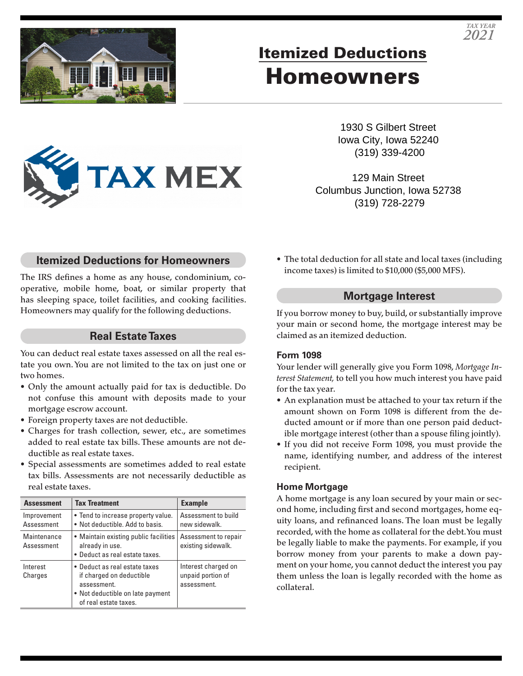

# Itemized Deductions Homeowners

1930 S Gilbert Street Iowa City, Iowa 52240 (319) 339-4200

*TAX YEAR 2021*

129 Main Street Columbus Junction, Iowa 52738 (319) 728-2279

### **Itemized Deductions for Homeowners**

**TAX MEX** 

The IRS defines a home as any house, condominium, cooperative, mobile home, boat, or similar property that has sleeping space, toilet facilities, and cooking facilities. Homeowners may qualify for the following deductions.

#### **Real Estate Taxes**

You can deduct real estate taxes assessed on all the real estate you own. You are not limited to the tax on just one or two homes.

- Only the amount actually paid for tax is deductible. Do not confuse this amount with deposits made to your mortgage escrow account.
- Foreign property taxes are not deductible.
- Charges for trash collection, sewer, etc., are sometimes added to real estate tax bills. These amounts are not deductible as real estate taxes.
- Special assessments are sometimes added to real estate tax bills. Assessments are not necessarily deductible as real estate taxes.

| <b>Assessment</b>         | <b>Tax Treatment</b>                                                                                                                  | <b>Example</b>                                          |
|---------------------------|---------------------------------------------------------------------------------------------------------------------------------------|---------------------------------------------------------|
| Improvement<br>Assessment | • Tend to increase property value.<br>• Not deductible, Add to basis.                                                                 | Assessment to build<br>new sidewalk.                    |
| Maintenance<br>Assessment | • Maintain existing public facilities<br>already in use.<br>• Deduct as real estate taxes.                                            | Assessment to repair<br>existing sidewalk.              |
| Interest<br>Charges       | • Deduct as real estate taxes<br>if charged on deductible<br>assessment.<br>• Not deductible on late payment<br>of real estate taxes. | Interest charged on<br>unpaid portion of<br>assessment. |

• The total deduction for all state and local taxes (including income taxes) is limited to \$10,000 (\$5,000 MFS).

#### **Mortgage Interest**

If you borrow money to buy, build, or substantially improve your main or second home, the mortgage interest may be claimed as an itemized deduction.

#### **Form 1098**

Your lender will generally give you Form 1098, *Mortgage Interest Statement,* to tell you how much interest you have paid for the tax year.

- An explanation must be attached to your tax return if the amount shown on Form 1098 is different from the deducted amount or if more than one person paid deductible mortgage interest (other than a spouse filing jointly).
- If you did not receive Form 1098, you must provide the name, identifying number, and address of the interest recipient.

#### **Home Mortgage**

A home mortgage is any loan secured by your main or second home, including first and second mortgages, home equity loans, and refinanced loans. The loan must be legally recorded, with the home as collateral for the debt. You must be legally liable to make the payments. For example, if you borrow money from your parents to make a down payment on your home, you cannot deduct the interest you pay them unless the loan is legally recorded with the home as collateral.